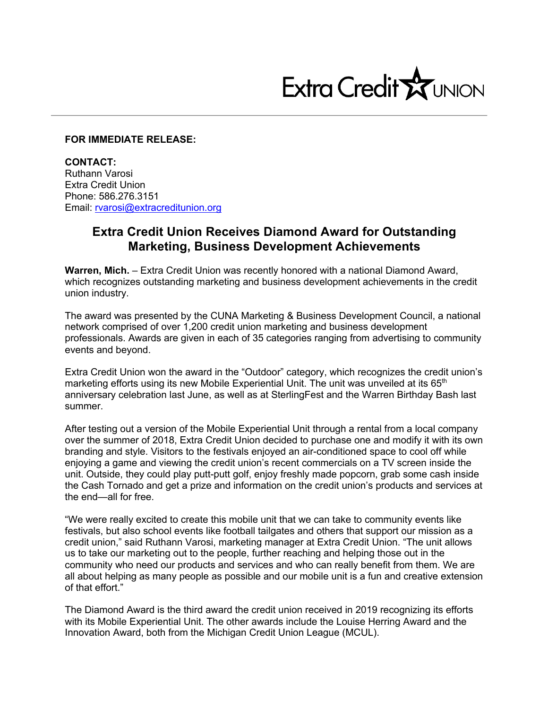

## **FOR IMMEDIATE RELEASE:**

**CONTACT:** Ruthann Varosi Extra Credit Union Phone: 586.276.3151 Email: rvarosi@extracreditunion.org

## **Extra Credit Union Receives Diamond Award for Outstanding Marketing, Business Development Achievements**

**Warren, Mich.** – Extra Credit Union was recently honored with a national Diamond Award, which recognizes outstanding marketing and business development achievements in the credit union industry.

The award was presented by the CUNA Marketing & Business Development Council, a national network comprised of over 1,200 credit union marketing and business development professionals. Awards are given in each of 35 categories ranging from advertising to community events and beyond.

Extra Credit Union won the award in the "Outdoor" category, which recognizes the credit union's marketing efforts using its new Mobile Experiential Unit. The unit was unveiled at its 65<sup>th</sup> anniversary celebration last June, as well as at SterlingFest and the Warren Birthday Bash last summer.

After testing out a version of the Mobile Experiential Unit through a rental from a local company over the summer of 2018, Extra Credit Union decided to purchase one and modify it with its own branding and style. Visitors to the festivals enjoyed an air-conditioned space to cool off while enjoying a game and viewing the credit union's recent commercials on a TV screen inside the unit. Outside, they could play putt-putt golf, enjoy freshly made popcorn, grab some cash inside the Cash Tornado and get a prize and information on the credit union's products and services at the end—all for free.

"We were really excited to create this mobile unit that we can take to community events like festivals, but also school events like football tailgates and others that support our mission as a credit union," said Ruthann Varosi, marketing manager at Extra Credit Union. "The unit allows us to take our marketing out to the people, further reaching and helping those out in the community who need our products and services and who can really benefit from them. We are all about helping as many people as possible and our mobile unit is a fun and creative extension of that effort."

The Diamond Award is the third award the credit union received in 2019 recognizing its efforts with its Mobile Experiential Unit. The other awards include the Louise Herring Award and the Innovation Award, both from the Michigan Credit Union League (MCUL).